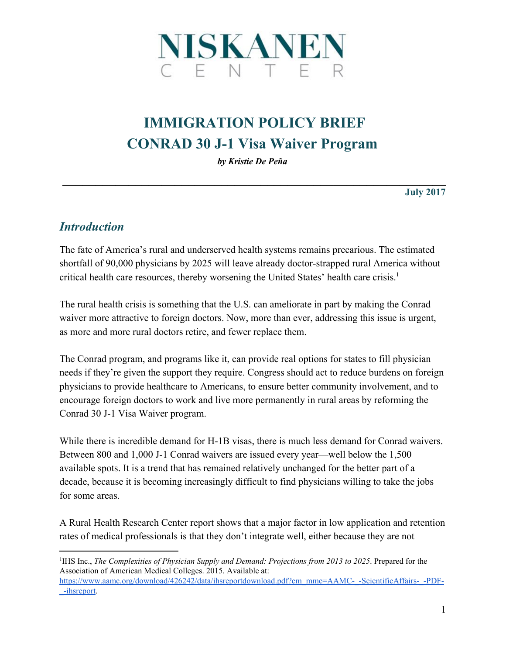

# **IMMIGRATION POLICY BRIEF CONRAD 30 J-1 Visa Waiver Program**

*by Kristie De Peña*

**\_\_\_\_\_\_\_\_\_\_\_\_\_\_\_\_\_\_\_\_\_\_\_\_\_\_\_\_\_\_\_\_\_\_\_\_\_\_\_\_\_\_\_\_\_\_\_\_\_\_\_\_\_\_\_\_\_\_**

**July 2017**

#### *Introduction*

The fate of America's rural and underserved health systems remains precarious. The estimated shortfall of 90,000 physicians by 2025 will leave already doctor-strapped rural America without critical health care resources, thereby worsening the United States' health care crisis.<sup>1</sup>

The rural health crisis is something that the U.S. can ameliorate in part by making the Conrad waiver more attractive to foreign doctors. Now, more than ever, addressing this issue is urgent, as more and more rural doctors retire, and fewer replace them.

The Conrad program, and programs like it, can provide real options for states to fill physician needs if they're given the support they require. Congress should act to reduce burdens on foreign physicians to provide healthcare to Americans, to ensure better community involvement, and to encourage foreign doctors to work and live more permanently in rural areas by reforming the Conrad 30 J-1 Visa Waiver program.

While there is incredible demand for H-1B visas, there is much less demand for Conrad waivers. Between 800 and 1,000 J-1 Conrad waivers are issued every year—well below the 1,500 available spots. It is a trend that has remained relatively unchanged for the better part of a decade, because it is becoming increasingly difficult to find physicians willing to take the jobs for some areas.

A Rural Health Research Center report shows that a major factor in low application and retention rates of medical professionals is that they don't integrate well, either because they are not

1 IHS Inc., *The Complexities of Physician Supply and Demand: Projections from 2013 to 2025*. Prepared for the Association of American Medical Colleges. 2015. Available at: [https://www.aamc.org/download/426242/data/ihsreportdownload.pdf?cm\\_mmc=AAMC-\\_-ScientificAffairs-\\_-PDF-](https://www.aamc.org/download/426242/data/ihsreportdownload.pdf?cm_mmc=AAMC-_-ScientificAffairs-_-PDF-_-ihsreport) [\\_-ihsreport.](https://www.aamc.org/download/426242/data/ihsreportdownload.pdf?cm_mmc=AAMC-_-ScientificAffairs-_-PDF-_-ihsreport)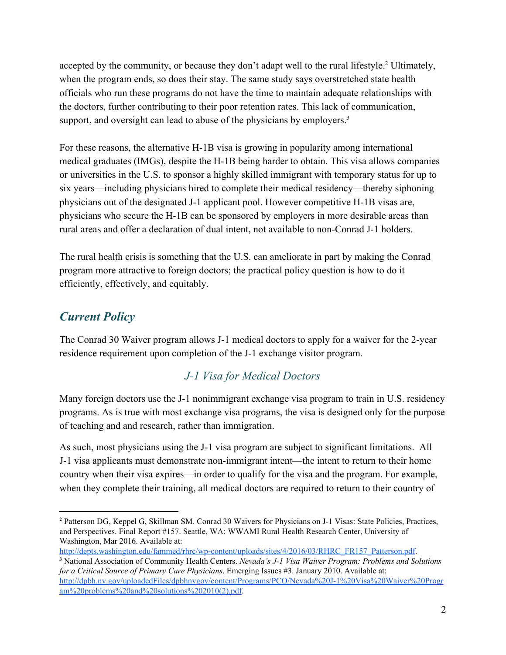accepted by the community, or because they don't adapt well to the rural lifestyle.<sup>2</sup> Ultimately, when the program ends, so does their stay. The same study says overstretched state health officials who run these programs do not have the time to maintain adequate relationships with the doctors, further contributing to their poor retention rates. This lack of communication, support, and oversight can lead to abuse of the physicians by employers.<sup>3</sup>

For these reasons, the alternative H-1B visa is growing in popularity among international medical graduates (IMGs), despite the H-1B being harder to obtain. This visa allows companies or universities in the U.S. to sponsor a highly skilled immigrant with temporary status for up to six years—including physicians hired to complete their medical residency—thereby siphoning physicians out of the designated J-1 applicant pool. However competitive H-1B visas are, physicians who secure the H-1B can be sponsored by employers in more desirable areas than rural areas and offer a declaration of dual intent, not available to non-Conrad J-1 holders.

The rural health crisis is something that the U.S. can ameliorate in part by making the Conrad program more attractive to foreign doctors; the practical policy question is how to do it efficiently, effectively, and equitably.

## *Current Policy*

The Conrad 30 Waiver program allows J-1 medical doctors to apply for a waiver for the 2-year residence requirement upon completion of the J-1 exchange visitor program.

#### *J-1 Visa for Medical Doctors*

Many foreign doctors use the J-1 nonimmigrant exchange visa program to train in U.S. residency programs. As is true with most exchange visa programs, the visa is designed only for the purpose of teaching and and research, rather than immigration.

As such, most physicians using the J-1 visa program are subject to significant limitations. All J-1 visa applicants must demonstrate non-immigrant intent—the intent to return to their home country when their visa expires—in order to qualify for the visa and the program. For example, when they complete their training, all medical doctors are required to return to their country of

**<sup>2</sup>** Patterson DG, Keppel G, Skillman SM. Conrad 30 Waivers for Physicians on J-1 Visas: State Policies, Practices, and Perspectives. Final Report #157. Seattle, WA: WWAMI Rural Health Research Center, University of Washington, Mar 2016. Available at:

[http://depts.washington.edu/fammed/rhrc/wp-content/uploads/sites/4/2016/03/RHRC\\_FR157\\_Patterson.pdf.](http://depts.washington.edu/fammed/rhrc/wp-content/uploads/sites/4/2016/03/RHRC_FR157_Patterson.pdf)

**<sup>3</sup>** National Association of Community Health Centers. *Nevada's J-1 Visa Waiver Program: Problems and Solutions for a Critical Source of Primary Care Physicians*. Emerging Issues #3. January 2010. Available at: [http://dpbh.nv.gov/uploadedFiles/dpbhnvgov/content/Programs/PCO/Nevada%20J-1%20Visa%20Waiver%20Progr](http://dpbh.nv.gov/uploadedFiles/dpbhnvgov/content/Programs/PCO/Nevada%20J-1%20Visa%20Waiver%20Program%20problems%20and%20solutions%202010(2).pdf)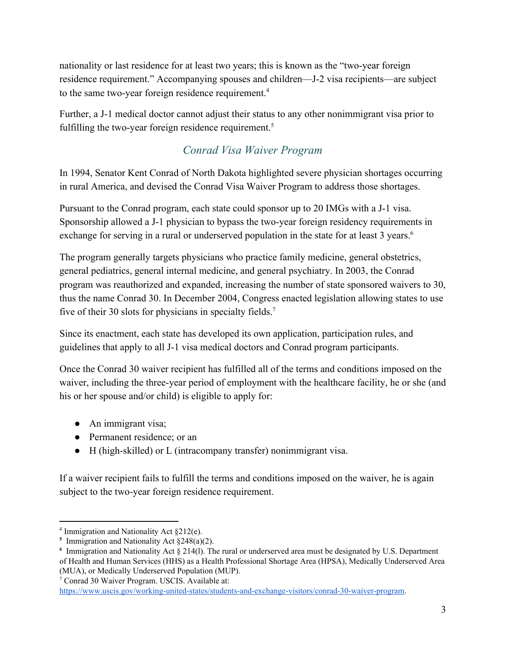nationality or last residence for at least two years; this is known as the "two-year foreign residence requirement." Accompanying spouses and children—J-2 visa recipients—are subject to the same two-year foreign residence requirement.<sup>4</sup>

Further, a J-1 medical doctor cannot adjust their status to any other nonimmigrant visa prior to fulfilling the two-year foreign residence requirement.<sup>5</sup>

### *Conrad Visa Waiver Program*

In 1994, Senator Kent Conrad of North Dakota highlighted severe physician shortages occurring in rural America, and devised the Conrad Visa Waiver Program to address those shortages.

Pursuant to the Conrad program, each state could sponsor up to 20 IMGs with a J-1 visa. Sponsorship allowed a J-1 physician to bypass the two-year foreign residency requirements in exchange for serving in a rural or underserved population in the state for at least 3 years.<sup>6</sup>

The program generally targets physicians who practice family medicine, general obstetrics, general pediatrics, general internal medicine, and general psychiatry. In 2003, the Conrad program was reauthorized and expanded, increasing the number of state sponsored waivers to 30, thus the name Conrad 30. In December 2004, Congress enacted legislation allowing states to use five of their 30 slots for physicians in specialty fields.<sup>7</sup>

Since its enactment, each state has developed its own application, participation rules, and guidelines that apply to all J-1 visa medical doctors and Conrad program participants.

Once the Conrad 30 waiver recipient has fulfilled all of the terms and conditions imposed on the waiver, including the three-year period of employment with the healthcare facility, he or she (and his or her spouse and/or child) is eligible to apply for:

- An immigrant visa;
- Permanent residence; or an
- H (high-skilled) or L (intracompany transfer) nonimmigrant visa.

If a waiver recipient fails to fulfill the terms and conditions imposed on the waiver, he is again subject to the two-year foreign residence requirement.

<sup>7</sup> Conrad 30 Waiver Program. USCIS. Available at:

<sup>4</sup> Immigration and Nationality Act §212(e).

<sup>&</sup>lt;sup>5</sup> Immigration and Nationality Act  $\S 248(a)(2)$ .

**<sup>6</sup>** Immigration and Nationality Act § 214(l). The rural or underserved area must be designated by U.S. Department of Health and Human Services (HHS) as a Health Professional Shortage Area (HPSA), Medically Underserved Area (MUA), or Medically Underserved Population (MUP).

[https://www.uscis.gov/working-united-states/students-and-exchange-visitors/conrad-30-waiver-program.](https://www.uscis.gov/working-united-states/students-and-exchange-visitors/conrad-30-waiver-program)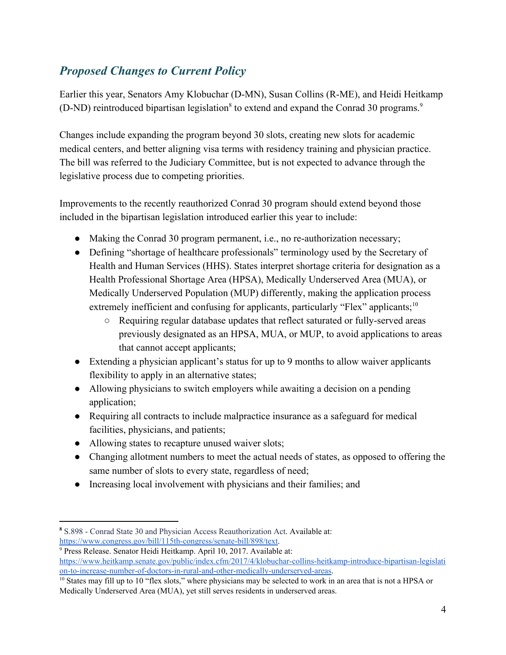# *Proposed Changes to Current Policy*

Earlier this year, Senators Amy Klobuchar (D-MN), Susan Collins (R-ME), and Heidi Heitkamp (D-ND) reintroduced bipartisan legislation<sup>8</sup> to extend and expand the Conrad 30 programs.<sup>9</sup>

Changes include expanding the program beyond 30 slots, creating new slots for academic medical centers, and better aligning visa terms with residency training and physician practice. The bill was referred to the Judiciary Committee, but is not expected to advance through the legislative process due to competing priorities.

Improvements to the recently reauthorized Conrad 30 program should extend beyond those included in the bipartisan legislation introduced earlier this year to include:

- Making the Conrad 30 program permanent, i.e., no re-authorization necessary;
- Defining "shortage of healthcare professionals" terminology used by the Secretary of Health and Human Services (HHS). States interpret shortage criteria for designation as a Health Professional Shortage Area (HPSA), Medically Underserved Area (MUA), or Medically Underserved Population (MUP) differently, making the application process extremely inefficient and confusing for applicants, particularly "Flex" applicants;<sup>10</sup>
	- Requiring regular database updates that reflect saturated or fully-served areas previously designated as an HPSA, MUA, or MUP, to avoid applications to areas that cannot accept applicants;
- Extending a physician applicant's status for up to 9 months to allow waiver applicants flexibility to apply in an alternative states;
- Allowing physicians to switch employers while awaiting a decision on a pending application;
- Requiring all contracts to include malpractice insurance as a safeguard for medical facilities, physicians, and patients;
- Allowing states to recapture unused waiver slots;
- Changing allotment numbers to meet the actual needs of states, as opposed to offering the same number of slots to every state, regardless of need;
- Increasing local involvement with physicians and their families; and

**<sup>8</sup>** S.898 - Conrad State 30 and Physician Access Reauthorization Act. Available at: [https://www.congress.gov/bill/115th-congress/senate-bill/898/text.](https://www.congress.gov/bill/115th-congress/senate-bill/898/text)

<sup>9</sup> Press Release. Senator Heidi Heitkamp. April 10, 2017. Available at: [https://www.heitkamp.senate.gov/public/index.cfm/2017/4/klobuchar-collins-heitkamp-introduce-bipartisan-legislati](https://www.heitkamp.senate.gov/public/index.cfm/2017/4/klobuchar-collins-heitkamp-introduce-bipartisan-legislation-to-increase-number-of-doctors-in-rural-and-other-medically-underserved-areas) [on-to-increase-number-of-doctors-in-rural-and-other-medically-underserved-areas](https://www.heitkamp.senate.gov/public/index.cfm/2017/4/klobuchar-collins-heitkamp-introduce-bipartisan-legislation-to-increase-number-of-doctors-in-rural-and-other-medically-underserved-areas).

<sup>&</sup>lt;sup>10</sup> States may fill up to 10 "flex slots," where physicians may be selected to work in an area that is not a HPSA or Medically Underserved Area (MUA), yet still serves residents in underserved areas.